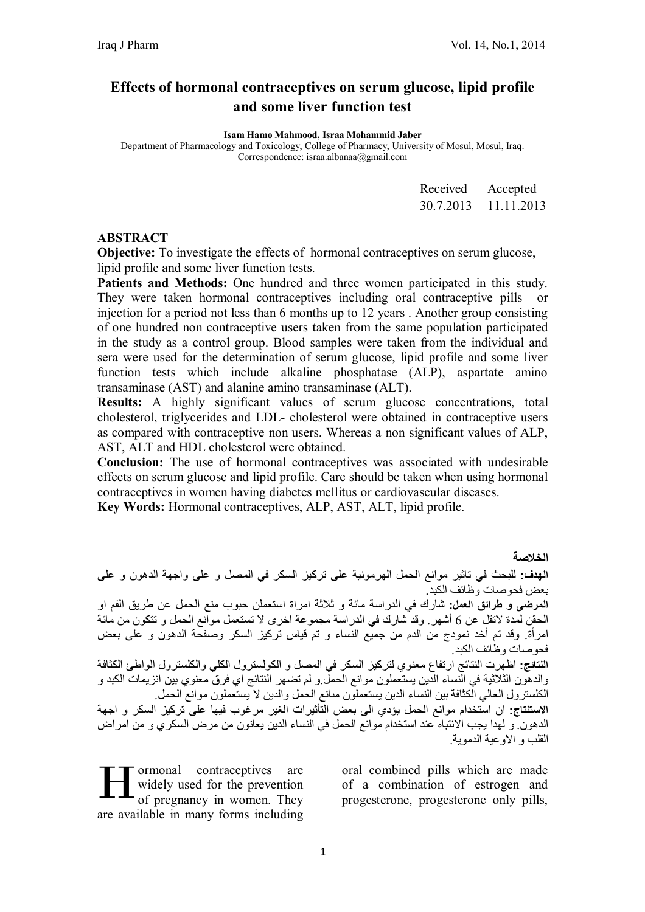# **Effects of hormonal contraceptives on serum glucose, lipid profile and some liver function test**

**Isam Hamo Mahmood, Israa Mohammid Jaber**

Department of Pharmacology and Toxicology, College of Pharmacy, University of Mosul, Mosul, Iraq. Correspondence: israa.albanaa@gmail.com

| Received  | Accepted   |
|-----------|------------|
| 30 7 2013 | 11 11 2013 |

#### **ABSTRACT**

**Objective:** To investigate the effects of hormonal contraceptives on serum glucose, lipid profile and some liver function tests.

**Patients and Methods:** One hundred and three women participated in this study. They were taken hormonal contraceptives including oral contraceptive pills or injection for a period not less than 6 months up to 12 years . Another group consisting of one hundred non contraceptive users taken from the same population participated in the study as a control group. Blood samples were taken from the individual and sera were used for the determination of serum glucose, lipid profile and some liver function tests which include alkaline phosphatase (ALP), aspartate amino transaminase (AST) and alanine amino transaminase (ALT).

**Results:** A highly significant values of serum glucose concentrations, total cholesterol, triglycerides and LDL- cholesterol were obtained in contraceptive users as compared with contraceptive non users. Whereas a non significant values of ALP, AST, ALT and HDL cholesterol were obtained.

**Conclusion:** The use of hormonal contraceptives was associated with undesirable effects on serum glucose and lipid profile. Care should be taken when using hormonal contraceptives in women having diabetes mellitus or cardiovascular diseases. **Key Words:** Hormonal contraceptives, ALP, AST, ALT, lipid profile.

**الخلاصة الھدف:** للبحث في تاثیر موانع الحمل الھرمونیة على تركیز السكر في المصل و على واجھة الدھون و على بعض فحوصات وظائف الكبد. **المرضى و طرائق العمل:** شارك في الدراسة مائة و ثلاثة امراة استعملن حبوب منع الحمل عن طریق الفم او الحقن لمدة لاتقل عن 6 أشھر. وقد شارك في الدراسة مجموعة اخرى لا تستعمل موانع الحمل و تتكون من مائة امرأة. وقد تم أخد نمودج من الدم من جمیع النساء و تم قیاس تركیز السكر وصفحة الدھون و على بعض فحوصات وظائف الكبد. **النتائج:** اظھرت النتائج ارتفاع معنوي لتركیز السكر في المصل و الكولسترول الكلي والكلسترول الواطئ الكثافة والدھون الثلاثیة في النساء الدین یستعملون موانع الحمل.و لم تضھر النتائج اي فرق معنوي بین انزیمات الكبد و الكلسترول العالي الكثافة بین النساء الدین یستعملون مԩانع الحمل والدین لا یستعملون موانع الحمل. **الاستنتاج:** ان استخدام موانع الحمل یؤدي الى بعض التأثیرات الغیر مرغوب فیھا على تركیز السكر و اجھة الدھون. و لھدا یجب الانتباه عند استخدام موانع الحمل في النساء الدین یعانون من مرض السكري و من امراض القلب و الاوعیة الدمویة.

ormonal contraceptives are widely used for the prevention of pregnancy in women. They are available in many forms including Tormonal contraceptives are oral combined pills which are made<br>widely used for the prevention of a combination of estrogen and<br>of pregnancy in women. They progesterone, progesterone only pills,

oral combined pills which are made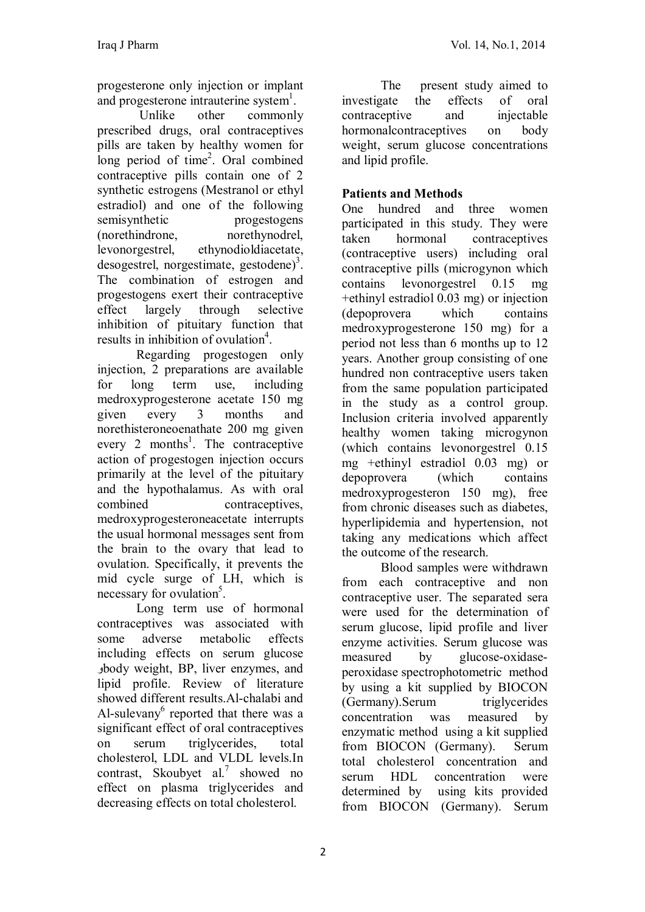progesterone only injection or implant and progesterone intrauterine system<sup>1</sup>.

Unlike other commonly prescribed drugs, oral contraceptives pills are taken by healthy women for long period of time<sup>2</sup>. Oral combined contraceptive pills contain one of 2 synthetic estrogens (Mestranol or ethyl estradiol) and one of the following semisynthetic progestogens (norethindrone, norethynodrel, levonorgestrel, ethynodioldiacetate, desogestrel, norgestimate, gestodene)<sup>3</sup>. The combination of estrogen and progestogens exert their contraceptive effect largely through selective inhibition of pituitary function that results in inhibition of ovulation<sup>4</sup>.

Regarding progestogen only injection, 2 preparations are available for long term use, including medroxyprogesterone acetate 150 mg given every 3 months and norethisteroneoenathate 200 mg given every 2 months<sup>1</sup>. The contraceptive action of progestogen injection occurs primarily at the level of the pituitary and the hypothalamus. As with oral combined contraceptives, medroxyprogesteroneacetate interrupts the usual hormonal messages sent from the brain to the ovary that lead to ovulation. Specifically, it prevents the mid cycle surge of LH, which is necessary for ovulation<sup>5</sup>.

Long term use of hormonal contraceptives was associated with some adverse metabolic effects including effects on serum glucose وbody weight, BP, liver enzymes, and lipid profile. Review of literature showed different results.Al-chalabi and Al-sulevany<sup>6</sup> reported that there was a significant effect of oral contraceptives on serum triglycerides, total cholesterol, LDL and VLDL levels.In contrast, Skoubyet al.<sup>7</sup> showed no effect on plasma triglycerides and decreasing effects on total cholesterol.

The present study aimed to investigate the effects of oral contraceptive and injectable hormonalcontraceptives on body weight, serum glucose concentrations and lipid profile.

# **Patients and Methods**

One hundred and three women participated in this study. They were taken hormonal contraceptives (contraceptive users) including oral contraceptive pills (microgynon which contains levonorgestrel 0.15 mg +ethinyl estradiol 0.03 mg) or injection (depoprovera which contains medroxyprogesterone 150 mg) for a period not less than 6 months up to 12 years. Another group consisting of one hundred non contraceptive users taken from the same population participated in the study as a control group. Inclusion criteria involved apparently healthy women taking microgynon (which contains levonorgestrel 0.15 mg +ethinyl estradiol 0.03 mg) or depoprovera (which contains medroxyprogesteron 150 mg), free from chronic diseases such as diabetes hyperlipidemia and hypertension, not taking any medications which affect the outcome of the research.

Blood samples were withdrawn from each contraceptive and non contraceptive user. The separated sera were used for the determination of serum glucose, lipid profile and liver enzyme activities. Serum glucose was measured by glucose-oxidaseperoxidase spectrophotometric method by using a kit supplied by BIOCON (Germany).Serum triglycerides concentration was measured by enzymatic method using a kit supplied from BIOCON (Germany). Serum total cholesterol concentration and serum HDL concentration were determined by using kits provided from BIOCON (Germany). Serum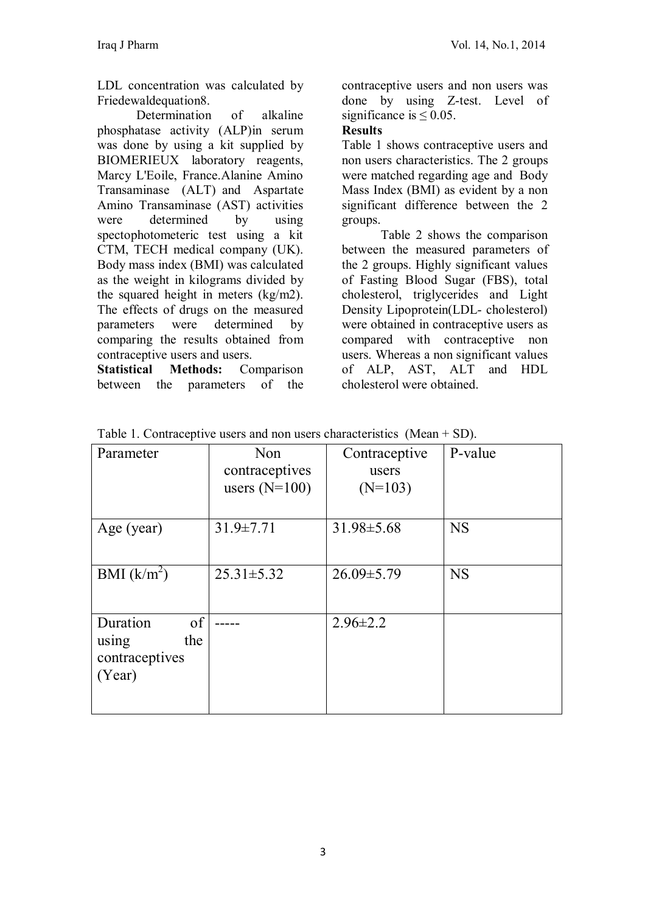LDL concentration was calculated by Friedewaldequation8.

Determination of alkaline phosphatase activity (ALP)in serum was done by using a kit supplied by BIOMERIEUX laboratory reagents, Marcy L'Eoile, France.Alanine Amino Transaminase (ALT) and Aspartate Amino Transaminase (AST) activities were determined by using spectophotometeric test using a kit CTM, TECH medical company (UK). Body mass index (BMI) was calculated as the weight in kilograms divided by the squared height in meters (kg/m2). The effects of drugs on the measured parameters were determined by comparing the results obtained from contraceptive users and users.

**Statistical Methods:** Comparison between the parameters of the contraceptive users and non users was done by using Z-test. Level of significance is  $\leq 0.05$ .

#### **Results**

Table 1 shows contraceptive users and non users characteristics. The 2 groups were matched regarding age and Body Mass Index (BMI) as evident by a non significant difference between the 2 groups.

Table 2 shows the comparison between the measured parameters of the 2 groups. Highly significant values of Fasting Blood Sugar (FBS), total cholesterol, triglycerides and Light Density Lipoprotein(LDL- cholesterol) were obtained in contraceptive users as compared with contraceptive non users. Whereas a non significant values of ALP, AST, ALT and HDL cholesterol were obtained.

| Parameter      | Non              | Contraceptive    | P-value   |
|----------------|------------------|------------------|-----------|
|                | contraceptives   | users            |           |
|                | users $(N=100)$  | $(N=103)$        |           |
|                |                  |                  |           |
| Age (year)     | $31.9 \pm 7.71$  | $31.98 \pm 5.68$ | <b>NS</b> |
|                |                  |                  |           |
| BMI $(k/m^2)$  | $25.31 \pm 5.32$ | $26.09 \pm 5.79$ | <b>NS</b> |
|                |                  |                  |           |
| of<br>Duration |                  | $2.96 \pm 2.2$   |           |
| the<br>using   |                  |                  |           |
| contraceptives |                  |                  |           |
| (Year)         |                  |                  |           |
|                |                  |                  |           |
|                |                  |                  |           |

Table 1. Contraceptive users and non users characteristics (Mean + SD).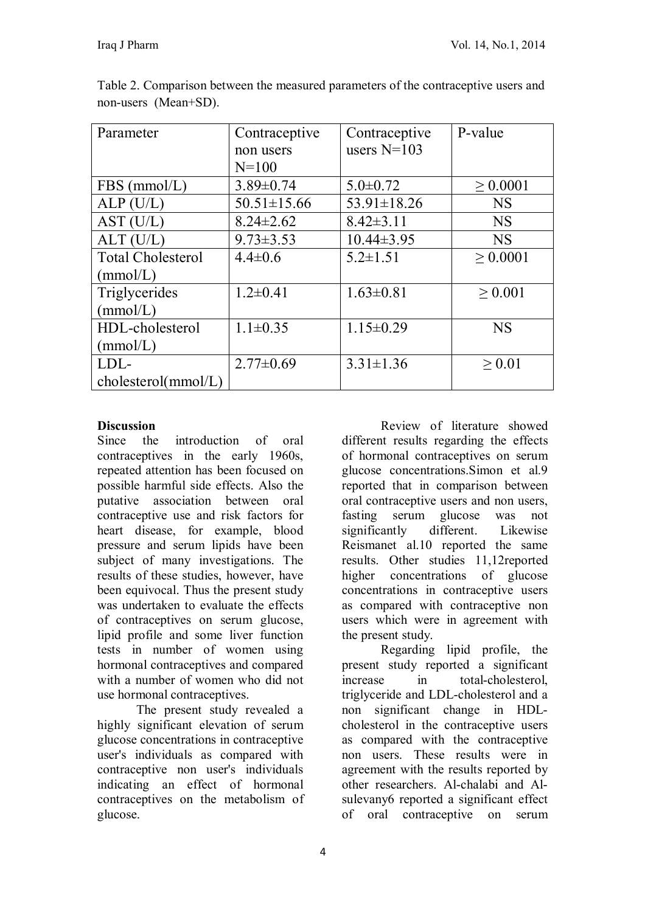| Parameter                | Contraceptive<br>non users<br>$N = 100$ | Contraceptive<br>users $N=103$ | P-value       |
|--------------------------|-----------------------------------------|--------------------------------|---------------|
| $FBS$ (mmol/L)           | $3.89 \pm 0.74$                         | $5.0 \pm 0.72$                 | $\geq 0.0001$ |
| ALP(U/L)                 | $50.51 \pm 15.66$                       | $53.91 \pm 18.26$              | <b>NS</b>     |
| AST (U/L)                | $8.24 \pm 2.62$                         | $8.42 \pm 3.11$                | <b>NS</b>     |
| ALT (U/L)                | $9.73 \pm 3.53$                         | $10.44\pm3.95$                 | <b>NS</b>     |
| <b>Total Cholesterol</b> | $4.4 \pm 0.6$                           | $5.2 \pm 1.51$                 | $\geq 0.0001$ |
| (mmol/L)                 |                                         |                                |               |
| Triglycerides            | $1.2 \pm 0.41$                          | $1.63 \pm 0.81$                | > 0.001       |
| (mmol/L)                 |                                         |                                |               |
| HDL-cholesterol          | $1.1 \pm 0.35$                          | $1.15 \pm 0.29$                | <b>NS</b>     |
| (mmol/L)                 |                                         |                                |               |
| LDL-                     | $2.77 \pm 0.69$                         | $3.31 \pm 1.36$                | $\geq 0.01$   |
| cholesterol(mmol/L)      |                                         |                                |               |

Table 2. Comparison between the measured parameters of the contraceptive users and non-users (Mean+SD).

### **Discussion**

Since the introduction of oral contraceptives in the early 1960s, repeated attention has been focused on possible harmful side effects. Also the putative association between oral contraceptive use and risk factors for heart disease, for example, blood pressure and serum lipids have been subject of many investigations. The results of these studies, however, have been equivocal. Thus the present study was undertaken to evaluate the effects of contraceptives on serum glucose, lipid profile and some liver function tests in number of women using hormonal contraceptives and compared with a number of women who did not use hormonal contraceptives.

The present study revealed a highly significant elevation of serum glucose concentrations in contraceptive user's individuals as compared with contraceptive non user's individuals indicating an effect of hormonal contraceptives on the metabolism of glucose.

Review of literature showed different results regarding the effects of hormonal contraceptives on serum glucose concentrations.Simon et al.9 reported that in comparison between oral contraceptive users and non users, fasting serum glucose was not significantly different. Likewise Reismanet al.10 reported the same results. Other studies 11,12reported higher concentrations of glucose concentrations in contraceptive users as compared with contraceptive non users which were in agreement with the present study.

Regarding lipid profile, the present study reported a significant increase in total-cholesterol, triglyceride and LDL-cholesterol and a non significant change in HDLcholesterol in the contraceptive users as compared with the contraceptive non users. These results were in agreement with the results reported by other researchers. Al-chalabi and Alsulevany6 reported a significant effect of oral contraceptive on serum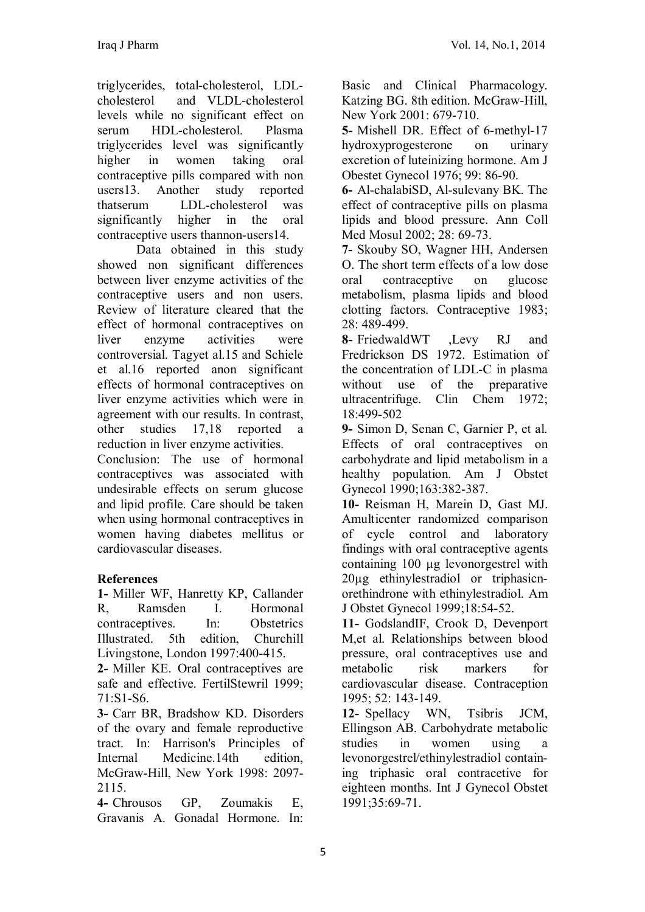triglycerides, total-cholesterol, LDLcholesterol and VLDL-cholesterol levels while no significant effect on serum HDL-cholesterol. Plasma triglycerides level was significantly higher in women taking oral contraceptive pills compared with non users13. Another study reported thatserum LDL-cholesterol was significantly higher in the oral contraceptive users thannon-users14.

Data obtained in this study showed non significant differences between liver enzyme activities of the contraceptive users and non users. Review of literature cleared that the effect of hormonal contraceptives on liver enzyme activities were controversial. Tagyet al.15 and Schiele et al.16 reported anon significant effects of hormonal contraceptives on liver enzyme activities which were in agreement with our results. In contrast, other studies 17,18 reported a reduction in liver enzyme activities.

Conclusion: The use of hormonal contraceptives was associated with undesirable effects on serum glucose and lipid profile. Care should be taken when using hormonal contraceptives in women having diabetes mellitus or cardiovascular diseases.

### **References**

**1-** Miller WF, Hanretty KP, Callander R, Ramsden I. Hormonal contraceptives In: Obstetrics Illustrated. 5th edition, Churchill Livingstone, London 1997:400-415.

**2-** Miller KE. Oral contraceptives are safe and effective. FertilStewril 1999; 71:S1-S6.

**3-** Carr BR, Bradshow KD. Disorders of the ovary and female reproductive tract. In: Harrison's Principles of Internal Medicine.14th edition, McGraw-Hill, New York 1998: 2097- 2115.

**4-** Chrousos GP, Zoumakis E, Gravanis A. Gonadal Hormone. In:

Basic and Clinical Pharmacology. Katzing BG. 8th edition. McGraw-Hill, New York 2001: 679-710.

**5-** Mishell DR. Effect of 6-methyl-17 hydroxyprogesterone on urinary excretion of luteinizing hormone. Am J Obestet Gynecol 1976; 99: 86-90.

**6-** Al-chalabiSD, Al-sulevany BK. The effect of contraceptive pills on plasma lipids and blood pressure. Ann Coll Med Mosul 2002; 28: 69-73.

**7-** Skouby SO, Wagner HH, Andersen O. The short term effects of a low dose oral contraceptive on glucose metabolism, plasma lipids and blood clotting factors. Contraceptive 1983; 28: 489-499.

**8-** FriedwaldWT ,Levy RJ and Fredrickson DS 1972. Estimation of the concentration of LDL-C in plasma without use of the preparative<br>ultracentrifuge. Clin Chem 1972; Clin Chem  $1972$ ; 18:499-502

**9-** Simon D, Senan C, Garnier P, et al. Effects of oral contraceptives on carbohydrate and lipid metabolism in a healthy population. Am J Obstet Gynecol 1990;163:382-387.

**10-** Reisman H, Marein D, Gast MJ. Amulticenter randomized comparison of cycle control and laboratory findings with oral contraceptive agents containing 100 ug levonorgestrel with 20µg ethinylestradiol or triphasicnorethindrone with ethinylestradiol. Am J Obstet Gynecol 1999;18:54-52.

**11-** GodslandIF, Crook D, Devenport M,et al. Relationships between blood pressure, oral contraceptives use and metabolic risk markers for cardiovascular disease. Contraception 1995; 52: 143-149.

**12-** Spellacy WN, Tsibris JCM, Ellingson AB. Carbohydrate metabolic studies in women using a levonorgestrel/ethinylestradiol containing triphasic oral contracetive for eighteen months. Int J Gynecol Obstet 1991;35:69-71.